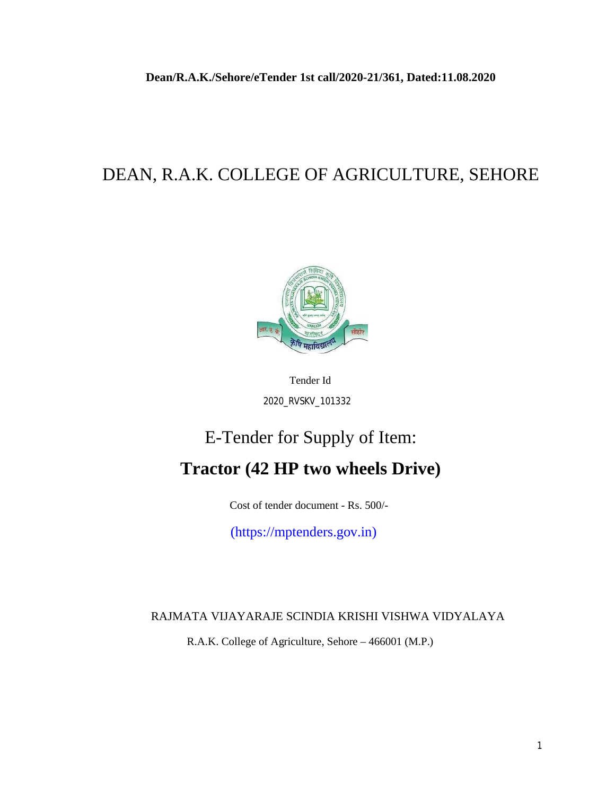# DEAN, R.A.K. COLLEGE OF AGRICULTURE, SEHORE



Tender Id 2020\_RVSKV\_101332

# E-Tender for Supply of Item: **Tractor (42 HP two wheels Drive)**

Cost of tender document - Rs. 500/-

(https://mptenders.gov.in)

RAJMATA VIJAYARAJE SCINDIA KRISHI VISHWA VIDYALAYA

R.A.K. College of Agriculture, Sehore – 466001 (M.P.)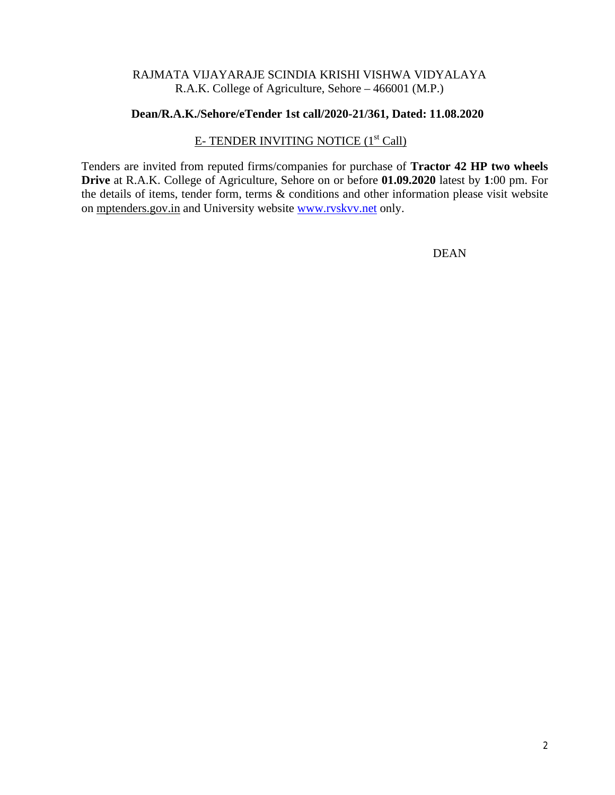#### RAJMATA VIJAYARAJE SCINDIA KRISHI VISHWA VIDYALAYA R.A.K. College of Agriculture, Sehore – 466001 (M.P.)

#### **Dean/R.A.K./Sehore/eTender 1st call/2020-21/361, Dated: 11.08.2020**

#### E- TENDER INVITING NOTICE (1<sup>st</sup> Call)

Tenders are invited from reputed firms/companies for purchase of **Tractor 42 HP two wheels Drive** at R.A.K. College of Agriculture, Sehore on or before **01.09.2020** latest by **1**:00 pm. For the details of items, tender form, terms & conditions and other information please visit website on mptenders.gov.in and University website www.rvskvv.net only.

DEAN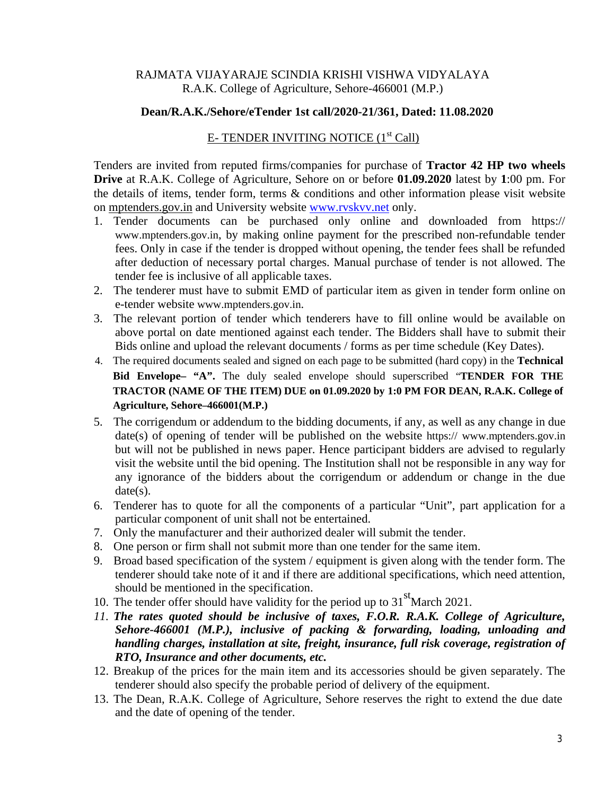#### RAJMATA VIJAYARAJE SCINDIA KRISHI VISHWA VIDYALAYA R.A.K. College of Agriculture, Sehore-466001 (M.P.)

#### **Dean/R.A.K./Sehore/eTender 1st call/2020-21/361, Dated: 11.08.2020**

#### E- TENDER INVITING NOTICE  $(1<sup>st</sup>$  Call)

Tenders are invited from reputed firms/companies for purchase of **Tractor 42 HP two wheels Drive** at R.A.K. College of Agriculture, Sehore on or before **01.09.2020** latest by **1**:00 pm. For the details of items, tender form, terms & conditions and other information please visit website on mptenders.gov.in and University website www.rvskvv.net only.

- 1. Tender documents can be purchased only online and downloaded from https:// www.mptenders.gov.in, by making online payment for the prescribed non-refundable tender fees. Only in case if the tender is dropped without opening, the tender fees shall be refunded after deduction of necessary portal charges. Manual purchase of tender is not allowed. The tender fee is inclusive of all applicable taxes.
- 2. The tenderer must have to submit EMD of particular item as given in tender form online on e-tender website www.mptenders.gov.in.
- 3. The relevant portion of tender which tenderers have to fill online would be available on above portal on date mentioned against each tender. The Bidders shall have to submit their Bids online and upload the relevant documents / forms as per time schedule (Key Dates).
- 4. The required documents sealed and signed on each page to be submitted (hard copy) in the **Technical Bid Envelope– "A".** The duly sealed envelope should superscribed "**TENDER FOR THE TRACTOR (NAME OF THE ITEM) DUE on 01.09.2020 by 1:0 PM FOR DEAN, R.A.K. College of Agriculture, Sehore–466001(M.P.)**
- 5. The corrigendum or addendum to the bidding documents, if any, as well as any change in due date(s) of opening of tender will be published on the website https:// www.mptenders.gov.in but will not be published in news paper. Hence participant bidders are advised to regularly visit the website until the bid opening. The Institution shall not be responsible in any way for any ignorance of the bidders about the corrigendum or addendum or change in the due  $date(s).$
- 6. Tenderer has to quote for all the components of a particular "Unit", part application for a particular component of unit shall not be entertained.
- 7. Only the manufacturer and their authorized dealer will submit the tender.
- 8. One person or firm shall not submit more than one tender for the same item.
- 9. Broad based specification of the system / equipment is given along with the tender form. The tenderer should take note of it and if there are additional specifications, which need attention, should be mentioned in the specification.
- 10. The tender offer should have validity for the period up to  $31<sup>st</sup>$  March 2021.
- *11. The rates quoted should be inclusive of taxes, F.O.R. R.A.K. College of Agriculture, Sehore-466001 (M.P.), inclusive of packing & forwarding, loading, unloading and handling charges, installation at site, freight, insurance, full risk coverage, registration of RTO, Insurance and other documents, etc.*
- 12. Breakup of the prices for the main item and its accessories should be given separately. The tenderer should also specify the probable period of delivery of the equipment.
- 13. The Dean, R.A.K. College of Agriculture, Sehore reserves the right to extend the due date and the date of opening of the tender.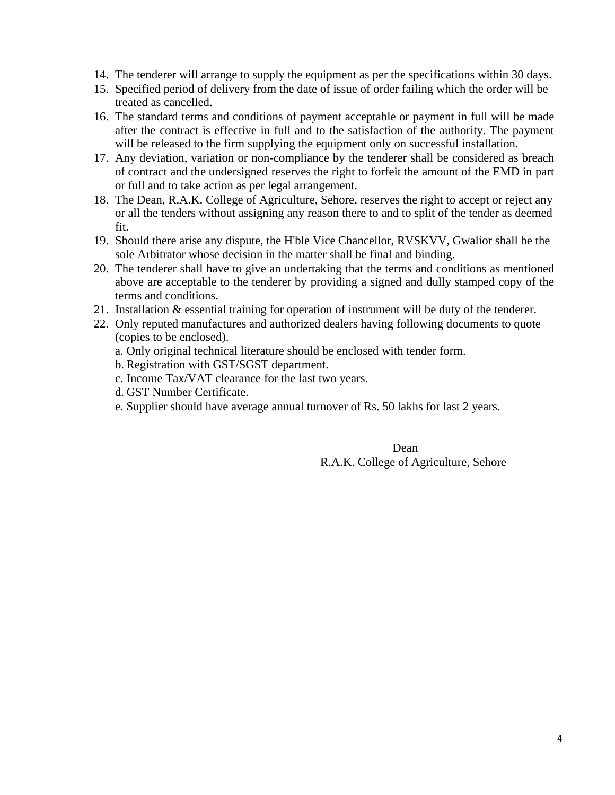- 14. The tenderer will arrange to supply the equipment as per the specifications within 30 days.
- 15. Specified period of delivery from the date of issue of order failing which the order will be treated as cancelled.
- 16. The standard terms and conditions of payment acceptable or payment in full will be made after the contract is effective in full and to the satisfaction of the authority. The payment will be released to the firm supplying the equipment only on successful installation.
- 17. Any deviation, variation or non-compliance by the tenderer shall be considered as breach of contract and the undersigned reserves the right to forfeit the amount of the EMD in part or full and to take action as per legal arrangement.
- 18. The Dean, R.A.K. College of Agriculture, Sehore, reserves the right to accept or reject any or all the tenders without assigning any reason there to and to split of the tender as deemed fit.
- 19. Should there arise any dispute, the H'ble Vice Chancellor, RVSKVV, Gwalior shall be the sole Arbitrator whose decision in the matter shall be final and binding.
- 20. The tenderer shall have to give an undertaking that the terms and conditions as mentioned above are acceptable to the tenderer by providing a signed and dully stamped copy of the terms and conditions.
- 21. Installation & essential training for operation of instrument will be duty of the tenderer.
- 22. Only reputed manufactures and authorized dealers having following documents to quote (copies to be enclosed).
	- a. Only original technical literature should be enclosed with tender form.
	- b. Registration with GST/SGST department.
	- c. Income Tax/VAT clearance for the last two years.
	- d. GST Number Certificate.
	- e. Supplier should have average annual turnover of Rs. 50 lakhs for last 2 years.

Dean R.A.K. College of Agriculture, Sehore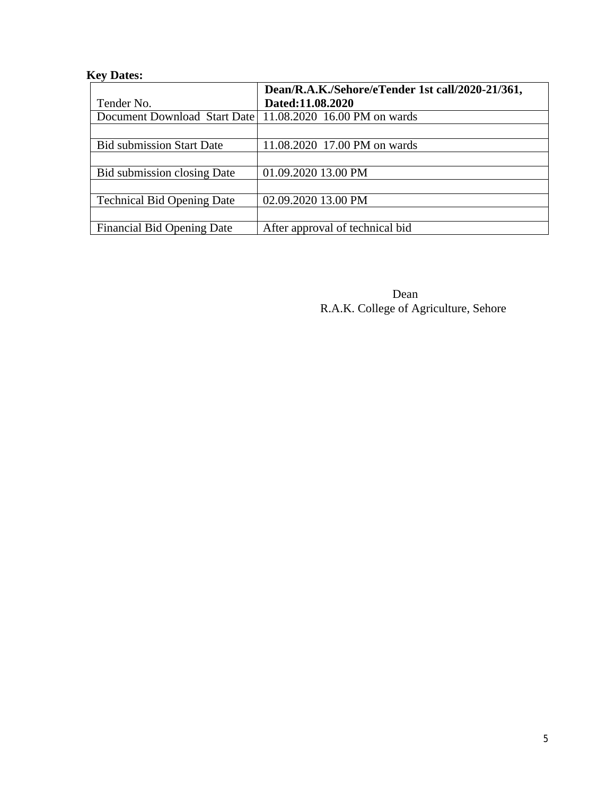## **Key Dates:**

|                                                             | Dean/R.A.K./Sehore/eTender 1st call/2020-21/361, |  |  |
|-------------------------------------------------------------|--------------------------------------------------|--|--|
| Tender No.                                                  | Dated:11.08.2020                                 |  |  |
| Document Download Start Date   11.08.2020 16.00 PM on wards |                                                  |  |  |
|                                                             |                                                  |  |  |
| <b>Bid submission Start Date</b>                            | 11.08.2020 17.00 PM on wards                     |  |  |
|                                                             |                                                  |  |  |
| Bid submission closing Date                                 | 01.09.2020 13.00 PM                              |  |  |
|                                                             |                                                  |  |  |
| <b>Technical Bid Opening Date</b>                           | 02.09.2020 13.00 PM                              |  |  |
|                                                             |                                                  |  |  |
| <b>Financial Bid Opening Date</b>                           | After approval of technical bid                  |  |  |

Dean R.A.K. College of Agriculture, Sehore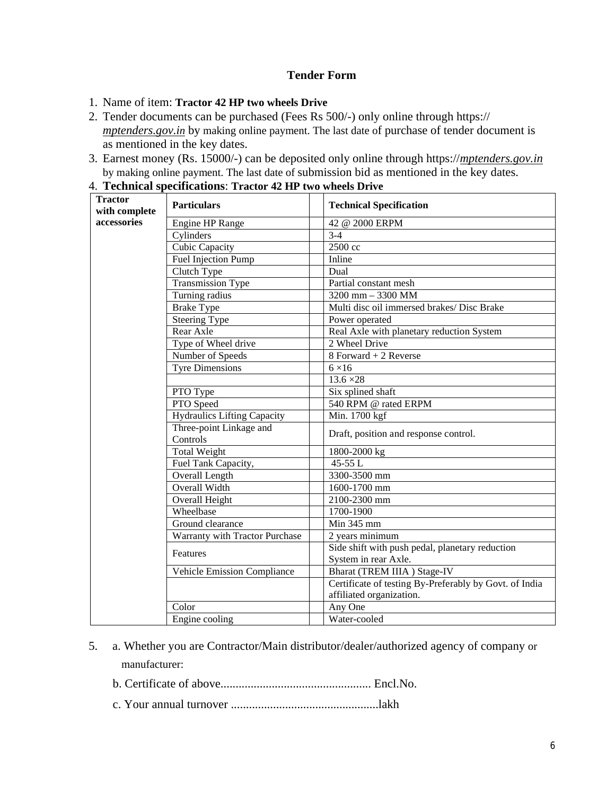#### **Tender Form**

- 1. Name of item: **Tractor 42 HP two wheels Drive**
- 2. Tender documents can be purchased (Fees Rs 500/-) only online through https:// *mptenders.gov.in* by making online payment. The last date of purchase of tender document is as mentioned in the key dates.
- 3. Earnest money (Rs. 15000/-) can be deposited only online through https://*mptenders.gov.in* by making online payment. The last date of submission bid as mentioned in the key dates.

4. **Technical specifications**: **Tractor 42 HP two wheels Drive**

| <b>Tractor</b><br>with complete | <b>Particulars</b>                  | <b>Technical Specification</b>                                                     |  |  |  |
|---------------------------------|-------------------------------------|------------------------------------------------------------------------------------|--|--|--|
| accessories                     | Engine HP Range                     | 42 @ 2000 ERPM                                                                     |  |  |  |
|                                 | Cylinders                           | $3 - 4$                                                                            |  |  |  |
|                                 | Cubic Capacity                      | 2500 cc                                                                            |  |  |  |
|                                 | <b>Fuel Injection Pump</b>          | Inline                                                                             |  |  |  |
|                                 | Clutch Type                         | Dual                                                                               |  |  |  |
|                                 | <b>Transmission Type</b>            | Partial constant mesh                                                              |  |  |  |
|                                 | Turning radius                      | 3200 mm $-$ 3300 MM                                                                |  |  |  |
|                                 | <b>Brake Type</b>                   | Multi disc oil immersed brakes/ Disc Brake                                         |  |  |  |
|                                 | Steering Type                       | Power operated                                                                     |  |  |  |
|                                 | Rear Axle                           | Real Axle with planetary reduction System                                          |  |  |  |
|                                 | Type of Wheel drive                 | 2 Wheel Drive                                                                      |  |  |  |
|                                 | Number of Speeds                    | 8 Forward + 2 Reverse                                                              |  |  |  |
|                                 | <b>Tyre Dimensions</b>              | $6 \times 16$                                                                      |  |  |  |
|                                 |                                     | $13.6 \times 28$                                                                   |  |  |  |
|                                 | PTO Type                            | Six splined shaft                                                                  |  |  |  |
|                                 | PTO Speed                           | 540 RPM @ rated ERPM                                                               |  |  |  |
|                                 | Hydraulics Lifting Capacity         | Min. 1700 kgf                                                                      |  |  |  |
|                                 | Three-point Linkage and<br>Controls | Draft, position and response control.                                              |  |  |  |
|                                 | <b>Total Weight</b>                 | 1800-2000 kg                                                                       |  |  |  |
|                                 | Fuel Tank Capacity,                 | $45 - 55$ L                                                                        |  |  |  |
|                                 | Overall Length                      | 3300-3500 mm                                                                       |  |  |  |
|                                 | <b>Overall Width</b>                | 1600-1700 mm                                                                       |  |  |  |
|                                 | Overall Height                      | 2100-2300 mm                                                                       |  |  |  |
|                                 | Wheelbase                           | 1700-1900                                                                          |  |  |  |
|                                 | Ground clearance                    | Min 345 mm                                                                         |  |  |  |
|                                 | Warranty with Tractor Purchase      | 2 years minimum                                                                    |  |  |  |
|                                 | Features                            | Side shift with push pedal, planetary reduction                                    |  |  |  |
|                                 |                                     | System in rear Axle.                                                               |  |  |  |
|                                 | Vehicle Emission Compliance         | Bharat (TREM IIIA) Stage-IV                                                        |  |  |  |
|                                 |                                     | Certificate of testing By-Preferably by Govt. of India<br>affiliated organization. |  |  |  |
|                                 | Color                               | Any One                                                                            |  |  |  |
|                                 | Engine cooling                      | Water-cooled                                                                       |  |  |  |

- 5. a. Whether you are Contractor/Main distributor/dealer/authorized agency of company or manufacturer:
	- b. Certificate of above.................................................. Encl.No.
	- c. Your annual turnover .................................................lakh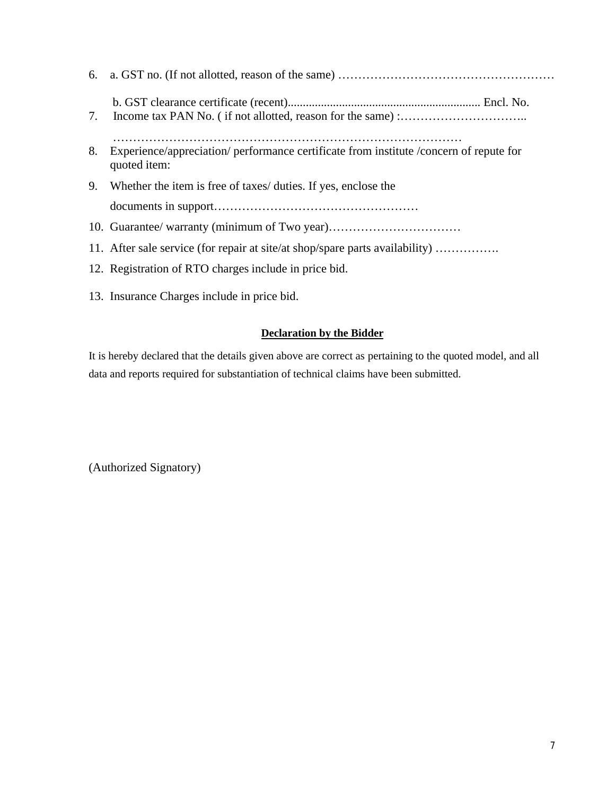| 8. | Experience/appreciation/ performance certificate from institute / concern of repute for<br>quoted item: |
|----|---------------------------------------------------------------------------------------------------------|
|    | 9. Whether the item is free of taxes/ duties. If yes, enclose the                                       |
|    |                                                                                                         |
|    | 10. Guarantee/ warranty (minimum of Two year)                                                           |
|    | 11. After sale service (for repair at site/at shop/spare parts availability)                            |
|    | 12. Registration of RTO charges include in price bid.                                                   |
|    | 13. Insurance Charges include in price bid.                                                             |

#### **Declaration by the Bidder**

It is hereby declared that the details given above are correct as pertaining to the quoted model, and all data and reports required for substantiation of technical claims have been submitted.

(Authorized Signatory)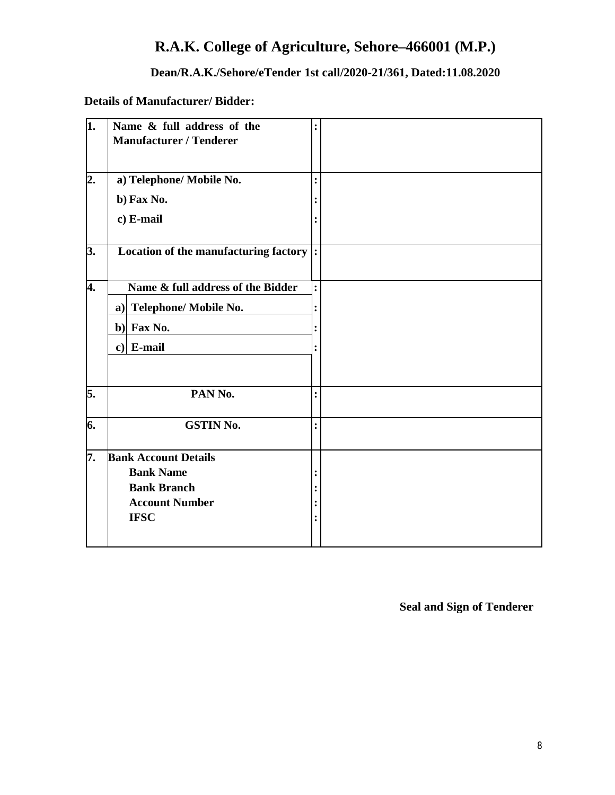## **R.A.K. College of Agriculture, Sehore–466001 (M.P.)**

#### **Dean/R.A.K./Sehore/eTender 1st call/2020-21/361, Dated:11.08.2020**

**Details of Manufacturer/ Bidder:**

| ī. | Name & full address of the<br><b>Manufacturer / Tenderer</b> |                    |  |
|----|--------------------------------------------------------------|--------------------|--|
| 2. | a) Telephone/ Mobile No.                                     |                    |  |
|    | b) Fax No.                                                   |                    |  |
|    | c) E-mail                                                    |                    |  |
| 3. | Location of the manufacturing factory                        | $\overline{\cdot}$ |  |
| 4. | Name & full address of the Bidder                            |                    |  |
|    | a) Telephone/ Mobile No.                                     |                    |  |
|    | b) Fax No.                                                   |                    |  |
|    | $c$ ] E-mail                                                 |                    |  |
| 5. | PAN No.                                                      |                    |  |
| 6. | <b>GSTIN No.</b>                                             |                    |  |
| 7. | <b>Bank Account Details</b>                                  |                    |  |
|    | <b>Bank Name</b>                                             |                    |  |
|    | <b>Bank Branch</b>                                           |                    |  |
|    | <b>Account Number</b><br><b>IFSC</b>                         |                    |  |
|    |                                                              |                    |  |

**Seal and Sign of Tenderer**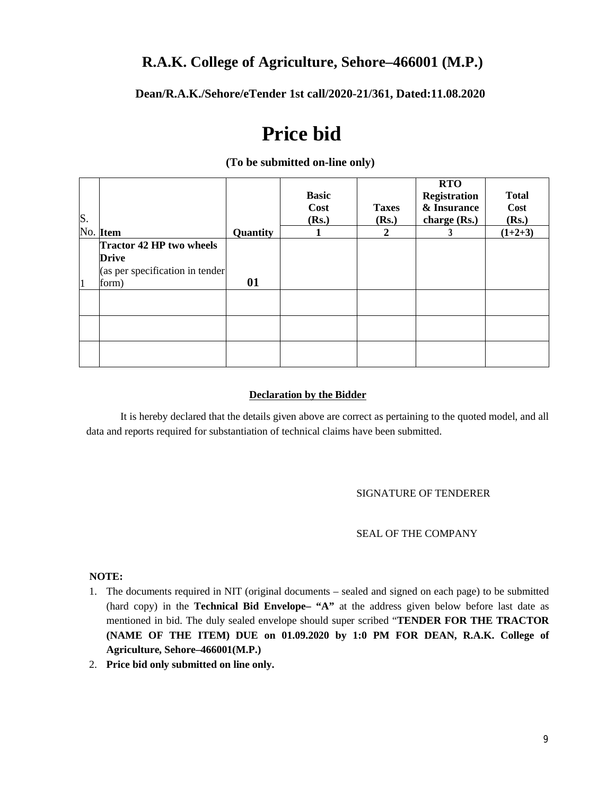### **R.A.K. College of Agriculture, Sehore–466001 (M.P.)**

**Dean/R.A.K./Sehore/eTender 1st call/2020-21/361, Dated:11.08.2020**

# **Price bid**

| S. |                                                                                             |          | <b>Basic</b><br>Cost<br>(Rs.) | <b>Taxes</b><br>(Rs.) | <b>RTO</b><br>Registration<br>& Insurance<br>charge (Rs.) | <b>Total</b><br>Cost<br>(Rs.) |
|----|---------------------------------------------------------------------------------------------|----------|-------------------------------|-----------------------|-----------------------------------------------------------|-------------------------------|
|    | No. Item                                                                                    | Quantity | н.                            | 2                     |                                                           | $(1+2+3)$                     |
| 11 | <b>Tractor 42 HP two wheels</b><br><b>Drive</b><br>(as per specification in tender<br>form) | 01       |                               |                       |                                                           |                               |
|    |                                                                                             |          |                               |                       |                                                           |                               |
|    |                                                                                             |          |                               |                       |                                                           |                               |
|    |                                                                                             |          |                               |                       |                                                           |                               |

#### **(To be submitted on-line only)**

#### **Declaration by the Bidder**

It is hereby declared that the details given above are correct as pertaining to the quoted model, and all data and reports required for substantiation of technical claims have been submitted.

#### SIGNATURE OF TENDERER

#### SEAL OF THE COMPANY

**NOTE:**

- 1. The documents required in NIT (original documents sealed and signed on each page) to be submitted (hard copy) in the **Technical Bid Envelope– "A"** at the address given below before last date as mentioned in bid. The duly sealed envelope should super scribed "**TENDER FOR THE TRACTOR (NAME OF THE ITEM) DUE on 01.09.2020 by 1:0 PM FOR DEAN, R.A.K. College of Agriculture, Sehore–466001(M.P.)**
- 2. **Price bid only submitted on line only.**